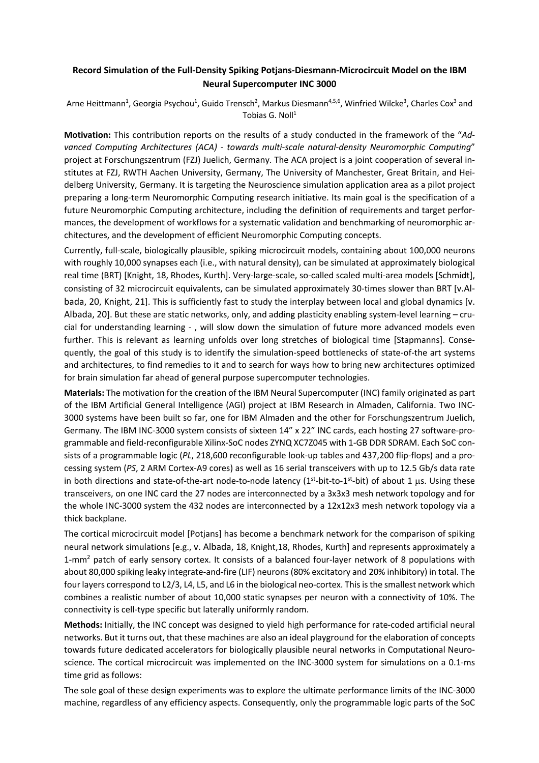## **Record Simulation of the Full-Density Spiking Potjans-Diesmann-Microcircuit Model on the IBM Neural Supercomputer INC 3000**

Arne Heittmann<sup>1</sup>, Georgia Psychou<sup>1</sup>, Guido Trensch<sup>2</sup>, Markus Diesmann<sup>4,5,6</sup>, Winfried Wilcke<sup>3</sup>, Charles Cox<sup>3</sup> and Tobias G. Noll<sup>1</sup>

**Motivation:** This contribution reports on the results of a study conducted in the framework of the "*Advanced Computing Architectures (ACA) - towards multi-scale natural-density Neuromorphic Computing*" project at Forschungszentrum (FZJ) Juelich, Germany. The ACA project is a joint cooperation of several institutes at FZJ, RWTH Aachen University, Germany, The University of Manchester, Great Britain, and Heidelberg University, Germany. It is targeting the Neuroscience simulation application area as a pilot project preparing a long-term Neuromorphic Computing research initiative. Its main goal is the specification of a future Neuromorphic Computing architecture, including the definition of requirements and target performances, the development of workflows for a systematic validation and benchmarking of neuromorphic architectures, and the development of efficient Neuromorphic Computing concepts.

Currently, full-scale, biologically plausible, spiking microcircuit models, containing about 100,000 neurons with roughly 10,000 synapses each (i.e., with natural density), can be simulated at approximately biological real time (BRT) [Knight, 18, Rhodes, Kurth]. Very-large-scale, so-called scaled multi-area models [Schmidt], consisting of 32 microcircuit equivalents, can be simulated approximately 30-times slower than BRT [v.Albada, 20, Knight, 21]. This is sufficiently fast to study the interplay between local and global dynamics [v. Albada, 20]. But these are static networks, only, and adding plasticity enabling system-level learning – crucial for understanding learning - , will slow down the simulation of future more advanced models even further. This is relevant as learning unfolds over long stretches of biological time [Stapmanns]. Consequently, the goal of this study is to identify the simulation-speed bottlenecks of state-of-the art systems and architectures, to find remedies to it and to search for ways how to bring new architectures optimized for brain simulation far ahead of general purpose supercomputer technologies.

**Materials:** The motivation for the creation of the IBM Neural Supercomputer (INC) family originated as part of the IBM Artificial General Intelligence (AGI) project at IBM Research in Almaden, California. Two INC-3000 systems have been built so far, one for IBM Almaden and the other for Forschungszentrum Juelich, Germany. The IBM INC-3000 system consists of sixteen 14" x 22" INC cards, each hosting 27 software-programmable and field-reconfigurable Xilinx-SoC nodes ZYNQ XC7Z045 with 1-GB DDR SDRAM. Each SoC consists of a programmable logic (*PL*, 218,600 reconfigurable look-up tables and 437,200 flip-flops) and a processing system (*PS*, 2 ARM Cortex-A9 cores) as well as 16 serial transceivers with up to 12.5 Gb/s data rate in both directions and state-of-the-art node-to-node latency ( $1<sup>st</sup>$ -bit-to- $1<sup>st</sup>$ -bit) of about 1 µs. Using these transceivers, on one INC card the 27 nodes are interconnected by a 3x3x3 mesh network topology and for the whole INC-3000 system the 432 nodes are interconnected by a 12x12x3 mesh network topology via a thick backplane.

The cortical microcircuit model [Potians] has become a benchmark network for the comparison of spiking neural network simulations [e.g., v. Albada, 18, Knight,18, Rhodes, Kurth] and represents approximately a 1-mm<sup>2</sup> patch of early sensory cortex. It consists of a balanced four-layer network of 8 populations with about 80,000 spiking leaky integrate-and-fire (LIF) neurons (80% excitatory and 20% inhibitory) in total. The four layers correspond to L2/3, L4, L5, and L6 in the biological neo-cortex. This is the smallest network which combines a realistic number of about 10,000 static synapses per neuron with a connectivity of 10%. The connectivity is cell-type specific but laterally uniformly random.

**Methods:** Initially, the INC concept was designed to yield high performance for rate-coded artificial neural networks. But it turns out, that these machines are also an ideal playground for the elaboration of concepts towards future dedicated accelerators for biologically plausible neural networks in Computational Neuroscience. The cortical microcircuit was implemented on the INC-3000 system for simulations on a 0.1-ms time grid as follows:

The sole goal of these design experiments was to explore the ultimate performance limits of the INC-3000 machine, regardless of any efficiency aspects. Consequently, only the programmable logic parts of the SoC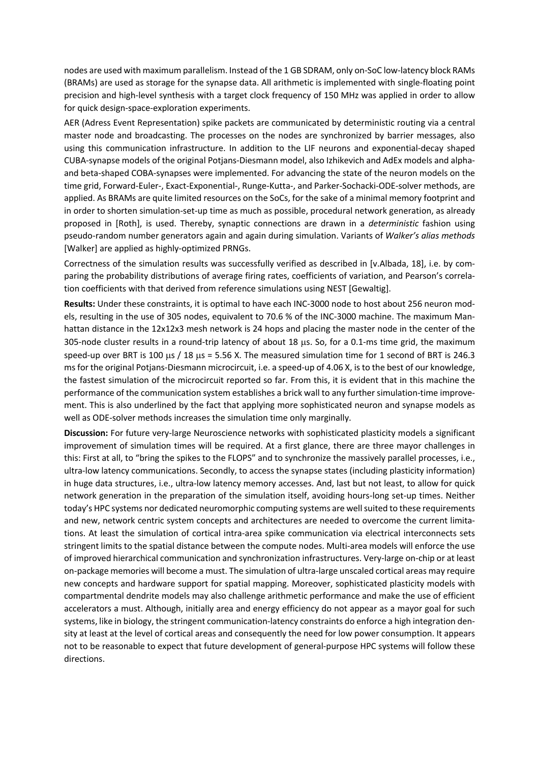nodes are used with maximum parallelism. Instead of the 1 GB SDRAM, only on-SoC low-latency block RAMs (BRAMs) are used as storage for the synapse data. All arithmetic is implemented with single-floating point precision and high-level synthesis with a target clock frequency of 150 MHz was applied in order to allow for quick design-space-exploration experiments.

AER (Adress Event Representation) spike packets are communicated by deterministic routing via a central master node and broadcasting. The processes on the nodes are synchronized by barrier messages, also using this communication infrastructure. In addition to the LIF neurons and exponential-decay shaped CUBA-synapse models of the original Potjans-Diesmann model, also Izhikevich and AdEx models and alphaand beta-shaped COBA-synapses were implemented. For advancing the state of the neuron models on the time grid, Forward-Euler-, Exact-Exponential-, Runge-Kutta-, and Parker-Sochacki-ODE-solver methods, are applied. As BRAMs are quite limited resources on the SoCs, for the sake of a minimal memory footprint and in order to shorten simulation-set-up time as much as possible, procedural network generation, as already proposed in [Roth], is used. Thereby, synaptic connections are drawn in a *deterministic* fashion using pseudo-random number generators again and again during simulation. Variants of *Walker's alias methods* [Walker] are applied as highly-optimized PRNGs.

Correctness of the simulation results was successfully verified as described in [v.Albada, 18], i.e. by comparing the probability distributions of average firing rates, coefficients of variation, and Pearson's correlation coefficients with that derived from reference simulations using NEST [Gewaltig].

**Results:** Under these constraints, it is optimal to have each INC-3000 node to host about 256 neuron models, resulting in the use of 305 nodes, equivalent to 70.6 % of the INC-3000 machine. The maximum Manhattan distance in the 12x12x3 mesh network is 24 hops and placing the master node in the center of the 305-node cluster results in a round-trip latency of about 18 µs. So, for a 0.1-ms time grid, the maximum speed-up over BRT is 100  $\mu$ s / 18  $\mu$ s = 5.56 X. The measured simulation time for 1 second of BRT is 246.3 msfor the original Potjans-Diesmann microcircuit, i.e. a speed-up of 4.06 X, is to the best of our knowledge, the fastest simulation of the microcircuit reported so far. From this, it is evident that in this machine the performance of the communication system establishes a brick wall to any further simulation-time improvement. This is also underlined by the fact that applying more sophisticated neuron and synapse models as well as ODE-solver methods increases the simulation time only marginally.

**Discussion:** For future very-large Neuroscience networks with sophisticated plasticity models a significant improvement of simulation times will be required. At a first glance, there are three mayor challenges in this: First at all, to "bring the spikes to the FLOPS" and to synchronize the massively parallel processes, i.e., ultra-low latency communications. Secondly, to access the synapse states (including plasticity information) in huge data structures, i.e., ultra-low latency memory accesses. And, last but not least, to allow for quick network generation in the preparation of the simulation itself, avoiding hours-long set-up times. Neither today's HPC systems nor dedicated neuromorphic computing systems are well suited to these requirements and new, network centric system concepts and architectures are needed to overcome the current limitations. At least the simulation of cortical intra-area spike communication via electrical interconnects sets stringent limits to the spatial distance between the compute nodes. Multi-area models will enforce the use of improved hierarchical communication and synchronization infrastructures. Very-large on-chip or at least on-package memories will become a must. The simulation of ultra-large unscaled cortical areas may require new concepts and hardware support for spatial mapping. Moreover, sophisticated plasticity models with compartmental dendrite models may also challenge arithmetic performance and make the use of efficient accelerators a must. Although, initially area and energy efficiency do not appear as a mayor goal for such systems, like in biology, the stringent communication-latency constraints do enforce a high integration density at least at the level of cortical areas and consequently the need for low power consumption. It appears not to be reasonable to expect that future development of general-purpose HPC systems will follow these directions.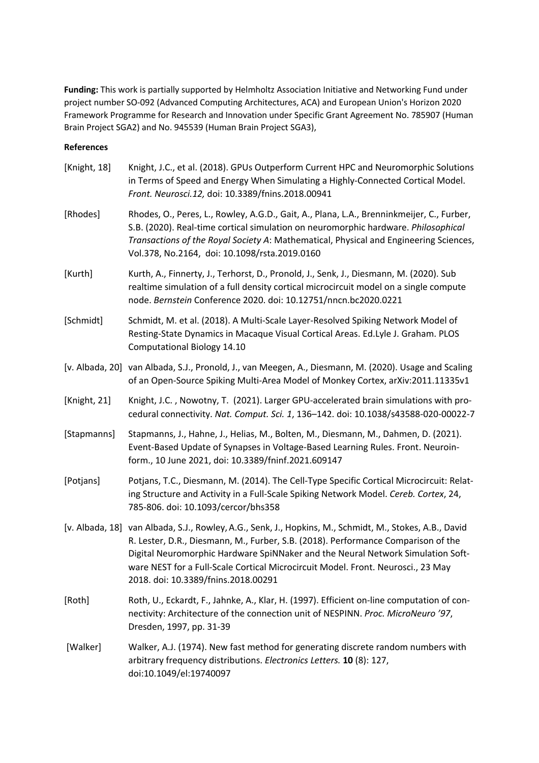**Funding:** This work is partially supported by Helmholtz Association Initiative and Networking Fund under project number SO-092 (Advanced Computing Architectures, ACA) and European Union's Horizon 2020 Framework Programme for Research and Innovation under Specific Grant Agreement No. 785907 (Human Brain Project SGA2) and No. 945539 (Human Brain Project SGA3),

## **References**

| [Knight, 18] | Knight, J.C., et al. (2018). GPUs Outperform Current HPC and Neuromorphic Solutions<br>in Terms of Speed and Energy When Simulating a Highly-Connected Cortical Model.<br>Front. Neurosci.12, doi: 10.3389/fnins.2018.00941                                                                                                                                                                                |
|--------------|------------------------------------------------------------------------------------------------------------------------------------------------------------------------------------------------------------------------------------------------------------------------------------------------------------------------------------------------------------------------------------------------------------|
| [Rhodes]     | Rhodes, O., Peres, L., Rowley, A.G.D., Gait, A., Plana, L.A., Brenninkmeijer, C., Furber,<br>S.B. (2020). Real-time cortical simulation on neuromorphic hardware. Philosophical<br>Transactions of the Royal Society A: Mathematical, Physical and Engineering Sciences,<br>Vol.378, No.2164, doi: 10.1098/rsta.2019.0160                                                                                  |
| [Kurth]      | Kurth, A., Finnerty, J., Terhorst, D., Pronold, J., Senk, J., Diesmann, M. (2020). Sub<br>realtime simulation of a full density cortical microcircuit model on a single compute<br>node. Bernstein Conference 2020. doi: 10.12751/nncn.bc2020.0221                                                                                                                                                         |
| [Schmidt]    | Schmidt, M. et al. (2018). A Multi-Scale Layer-Resolved Spiking Network Model of<br>Resting-State Dynamics in Macaque Visual Cortical Areas. Ed.Lyle J. Graham. PLOS<br>Computational Biology 14.10                                                                                                                                                                                                        |
|              | [v. Albada, 20] van Albada, S.J., Pronold, J., van Meegen, A., Diesmann, M. (2020). Usage and Scaling<br>of an Open-Source Spiking Multi-Area Model of Monkey Cortex, arXiv:2011.11335v1                                                                                                                                                                                                                   |
| [Knight, 21] | Knight, J.C., Nowotny, T. (2021). Larger GPU-accelerated brain simulations with pro-<br>cedural connectivity. Nat. Comput. Sci. 1, 136-142. doi: 10.1038/s43588-020-00022-7                                                                                                                                                                                                                                |
| [Stapmanns]  | Stapmanns, J., Hahne, J., Helias, M., Bolten, M., Diesmann, M., Dahmen, D. (2021).<br>Event-Based Update of Synapses in Voltage-Based Learning Rules. Front. Neuroin-<br>form., 10 June 2021, doi: 10.3389/fninf.2021.609147                                                                                                                                                                               |
| [Potjans]    | Potjans, T.C., Diesmann, M. (2014). The Cell-Type Specific Cortical Microcircuit: Relat-<br>ing Structure and Activity in a Full-Scale Spiking Network Model. Cereb. Cortex, 24,<br>785-806. doi: 10.1093/cercor/bhs358                                                                                                                                                                                    |
|              | [v. Albada, 18] van Albada, S.J., Rowley, A.G., Senk, J., Hopkins, M., Schmidt, M., Stokes, A.B., David<br>R. Lester, D.R., Diesmann, M., Furber, S.B. (2018). Performance Comparison of the<br>Digital Neuromorphic Hardware SpiNNaker and the Neural Network Simulation Soft-<br>ware NEST for a Full-Scale Cortical Microcircuit Model. Front. Neurosci., 23 May<br>2018. doi: 10.3389/fnins.2018.00291 |
| [Roth]       | Roth, U., Eckardt, F., Jahnke, A., Klar, H. (1997). Efficient on-line computation of con-<br>nectivity: Architecture of the connection unit of NESPINN. Proc. MicroNeuro '97,<br>Dresden, 1997, pp. 31-39                                                                                                                                                                                                  |
| [Walker]     | Walker, A.J. (1974). New fast method for generating discrete random numbers with<br>arbitrary frequency distributions. Electronics Letters. 10 (8): 127,<br>doi:10.1049/el:19740097                                                                                                                                                                                                                        |